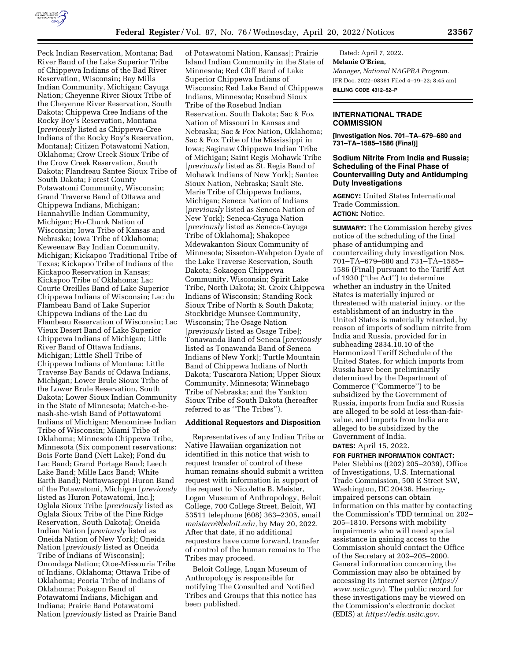

# **INTERNATIONAL TRADE COMMISSION**

**[Investigation Nos. 701–TA–679–680 and 731–TA–1585–1586 (Final)]** 

## **Sodium Nitrite From India and Russia; Scheduling of the Final Phase of Countervailing Duty and Antidumping Duty Investigations**

**AGENCY:** United States International Trade Commission. **ACTION:** Notice.

**SUMMARY:** The Commission hereby gives notice of the scheduling of the final phase of antidumping and countervailing duty investigation Nos. 701–TA–679–680 and 731–TA–1585– 1586 (Final) pursuant to the Tariff Act of 1930 (''the Act'') to determine whether an industry in the United States is materially injured or threatened with material injury, or the establishment of an industry in the United States is materially retarded, by reason of imports of sodium nitrite from India and Russia, provided for in subheading 2834.10.10 of the Harmonized Tariff Schedule of the United States, for which imports from Russia have been preliminarily determined by the Department of Commerce (''Commerce'') to be subsidized by the Government of Russia, imports from India and Russia are alleged to be sold at less-than-fairvalue, and imports from India are alleged to be subsidized by the Government of India.

**DATES:** April 15, 2022.

**FOR FURTHER INFORMATION CONTACT:**  Peter Stebbins ((202) 205–2039), Office of Investigations, U.S. International Trade Commission, 500 E Street SW, Washington, DC 20436. Hearingimpaired persons can obtain information on this matter by contacting the Commission's TDD terminal on 202– 205–1810. Persons with mobility impairments who will need special assistance in gaining access to the Commission should contact the Office of the Secretary at 202–205–2000. General information concerning the Commission may also be obtained by accessing its internet server (*https:// www.usitc.gov*). The public record for these investigations may be viewed on the Commission's electronic docket (EDIS) at *https://edis.usitc.gov.* 

Peck Indian Reservation, Montana; Bad River Band of the Lake Superior Tribe of Chippewa Indians of the Bad River Reservation, Wisconsin; Bay Mills Indian Community, Michigan; Cayuga Nation; Cheyenne River Sioux Tribe of the Cheyenne River Reservation, South Dakota; Chippewa Cree Indians of the Rocky Boy's Reservation, Montana [*previously* listed as Chippewa-Cree Indians of the Rocky Boy's Reservation, Montana]; Citizen Potawatomi Nation, Oklahoma; Crow Creek Sioux Tribe of the Crow Creek Reservation, South Dakota; Flandreau Santee Sioux Tribe of South Dakota; Forest County Potawatomi Community, Wisconsin; Grand Traverse Band of Ottawa and Chippewa Indians, Michigan; Hannahville Indian Community, Michigan; Ho-Chunk Nation of Wisconsin; Iowa Tribe of Kansas and Nebraska; Iowa Tribe of Oklahoma; Keweenaw Bay Indian Community, Michigan; Kickapoo Traditional Tribe of Texas; Kickapoo Tribe of Indians of the Kickapoo Reservation in Kansas; Kickapoo Tribe of Oklahoma; Lac Courte Oreilles Band of Lake Superior Chippewa Indians of Wisconsin; Lac du Flambeau Band of Lake Superior Chippewa Indians of the Lac du Flambeau Reservation of Wisconsin; Lac Vieux Desert Band of Lake Superior Chippewa Indians of Michigan; Little River Band of Ottawa Indians, Michigan; Little Shell Tribe of Chippewa Indians of Montana; Little Traverse Bay Bands of Odawa Indians, Michigan; Lower Brule Sioux Tribe of the Lower Brule Reservation, South Dakota; Lower Sioux Indian Community in the State of Minnesota; Match-e-benash-she-wish Band of Pottawatomi Indians of Michigan; Menominee Indian Tribe of Wisconsin; Miami Tribe of Oklahoma; Minnesota Chippewa Tribe, Minnesota (Six component reservations: Bois Forte Band (Nett Lake); Fond du Lac Band; Grand Portage Band; Leech Lake Band; Mille Lacs Band; White Earth Band); Nottawaseppi Huron Band of the Potawatomi, Michigan [*previously*  listed as Huron Potawatomi, Inc.]; Oglala Sioux Tribe [*previously* listed as Oglala Sioux Tribe of the Pine Ridge Reservation, South Dakota]; Oneida Indian Nation [*previously* listed as Oneida Nation of New York]; Oneida Nation [*previously* listed as Oneida Tribe of Indians of Wisconsin]; Onondaga Nation; Otoe-Missouria Tribe of Indians, Oklahoma; Ottawa Tribe of Oklahoma; Peoria Tribe of Indians of Oklahoma; Pokagon Band of Potawatomi Indians, Michigan and Indiana; Prairie Band Potawatomi Nation [*previously* listed as Prairie Band

of Potawatomi Nation, Kansas]; Prairie Island Indian Community in the State of Minnesota; Red Cliff Band of Lake Superior Chippewa Indians of Wisconsin; Red Lake Band of Chippewa Indians, Minnesota; Rosebud Sioux Tribe of the Rosebud Indian Reservation, South Dakota; Sac & Fox Nation of Missouri in Kansas and Nebraska; Sac & Fox Nation, Oklahoma; Sac & Fox Tribe of the Mississippi in Iowa; Saginaw Chippewa Indian Tribe of Michigan; Saint Regis Mohawk Tribe [*previously* listed as St. Regis Band of Mohawk Indians of New York]; Santee Sioux Nation, Nebraska; Sault Ste. Marie Tribe of Chippewa Indians, Michigan; Seneca Nation of Indians [*previously* listed as Seneca Nation of New York]; Seneca-Cayuga Nation [*previously* listed as Seneca-Cayuga Tribe of Oklahoma]; Shakopee Mdewakanton Sioux Community of Minnesota; Sisseton-Wahpeton Oyate of the Lake Traverse Reservation, South Dakota; Sokaogon Chippewa Community, Wisconsin; Spirit Lake Tribe, North Dakota; St. Croix Chippewa Indians of Wisconsin; Standing Rock Sioux Tribe of North & South Dakota; Stockbridge Munsee Community, Wisconsin; The Osage Nation [*previously* listed as Osage Tribe]; Tonawanda Band of Seneca [*previously*  listed as Tonawanda Band of Seneca Indians of New York]; Turtle Mountain Band of Chippewa Indians of North Dakota; Tuscarora Nation; Upper Sioux Community, Minnesota; Winnebago Tribe of Nebraska; and the Yankton Sioux Tribe of South Dakota (hereafter referred to as ''The Tribes'').

### **Additional Requestors and Disposition**

Representatives of any Indian Tribe or Native Hawaiian organization not identified in this notice that wish to request transfer of control of these human remains should submit a written request with information in support of the request to Nicolette B. Meister, Logan Museum of Anthropology, Beloit College, 700 College Street, Beloit, WI 53511 telephone (608) 363–2305, email *meistern@beloit.edu,* by May 20, 2022. After that date, if no additional requestors have come forward, transfer of control of the human remains to The Tribes may proceed.

Beloit College, Logan Museum of Anthropology is responsible for notifying The Consulted and Notified Tribes and Groups that this notice has been published.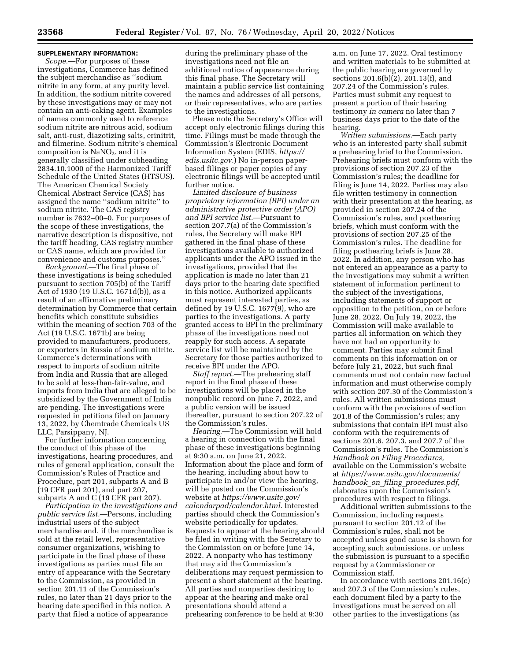## **SUPPLEMENTARY INFORMATION:**

*Scope.*—For purposes of these investigations, Commerce has defined the subject merchandise as ''sodium nitrite in any form, at any purity level. In addition, the sodium nitrite covered by these investigations may or may not contain an anti-caking agent. Examples of names commonly used to reference sodium nitrite are nitrous acid, sodium salt, anti-rust, diazotizing salts, erinitrit, and filmerine. Sodium nitrite's chemical composition is  $NaNO<sub>2</sub>$ , and it is generally classified under subheading 2834.10.1000 of the Harmonized Tariff Schedule of the United States (HTSUS). The American Chemical Society Chemical Abstract Service (CAS) has assigned the name ''sodium nitrite'' to sodium nitrite. The CAS registry number is 7632–00–0. For purposes of the scope of these investigations, the narrative description is dispositive, not the tariff heading, CAS registry number or CAS name, which are provided for convenience and customs purposes.''

*Background.*—The final phase of these investigations is being scheduled pursuant to section 705(b) of the Tariff Act of 1930 (19 U.S.C. 1671d(b)), as a result of an affirmative preliminary determination by Commerce that certain benefits which constitute subsidies within the meaning of section 703 of the Act (19 U.S.C. 1671b) are being provided to manufacturers, producers, or exporters in Russia of sodium nitrite. Commerce's determinations with respect to imports of sodium nitrite from India and Russia that are alleged to be sold at less-than-fair-value, and imports from India that are alleged to be subsidized by the Government of India are pending. The investigations were requested in petitions filed on January 13, 2022, by Chemtrade Chemicals US LLC, Parsippany, NJ.

For further information concerning the conduct of this phase of the investigations, hearing procedures, and rules of general application, consult the Commission's Rules of Practice and Procedure, part 201, subparts A and B (19 CFR part 201), and part 207, subparts A and C (19 CFR part 207).

*Participation in the investigations and public service list.*—Persons, including industrial users of the subject merchandise and, if the merchandise is sold at the retail level, representative consumer organizations, wishing to participate in the final phase of these investigations as parties must file an entry of appearance with the Secretary to the Commission, as provided in section 201.11 of the Commission's rules, no later than 21 days prior to the hearing date specified in this notice. A party that filed a notice of appearance

during the preliminary phase of the investigations need not file an additional notice of appearance during this final phase. The Secretary will maintain a public service list containing the names and addresses of all persons, or their representatives, who are parties to the investigations.

Please note the Secretary's Office will accept only electronic filings during this time. Filings must be made through the Commission's Electronic Document Information System (EDIS, *https:// edis.usitc.gov.*) No in-person paperbased filings or paper copies of any electronic filings will be accepted until further notice.

*Limited disclosure of business proprietary information (BPI) under an administrative protective order (APO) and BPI service list.*—Pursuant to section 207.7(a) of the Commission's rules, the Secretary will make BPI gathered in the final phase of these investigations available to authorized applicants under the APO issued in the investigations, provided that the application is made no later than 21 days prior to the hearing date specified in this notice. Authorized applicants must represent interested parties, as defined by 19 U.S.C. 1677(9), who are parties to the investigations. A party granted access to BPI in the preliminary phase of the investigations need not reapply for such access. A separate service list will be maintained by the Secretary for those parties authorized to receive BPI under the APO.

*Staff report.*—The prehearing staff report in the final phase of these investigations will be placed in the nonpublic record on June 7, 2022, and a public version will be issued thereafter, pursuant to section 207.22 of the Commission's rules.

*Hearing.*—The Commission will hold a hearing in connection with the final phase of these investigations beginning at 9:30 a.m. on June 21, 2022. Information about the place and form of the hearing, including about how to participate in and/or view the hearing, will be posted on the Commission's website at *https://www.usitc.gov/ calendarpad/calendar.html.* Interested parties should check the Commission's website periodically for updates. Requests to appear at the hearing should be filed in writing with the Secretary to the Commission on or before June 14, 2022. A nonparty who has testimony that may aid the Commission's deliberations may request permission to present a short statement at the hearing. All parties and nonparties desiring to appear at the hearing and make oral presentations should attend a prehearing conference to be held at 9:30

a.m. on June 17, 2022. Oral testimony and written materials to be submitted at the public hearing are governed by sections 201.6(b)(2), 201.13(f), and 207.24 of the Commission's rules. Parties must submit any request to present a portion of their hearing testimony *in camera* no later than 7 business days prior to the date of the hearing.

*Written submissions.*—Each party who is an interested party shall submit a prehearing brief to the Commission. Prehearing briefs must conform with the provisions of section 207.23 of the Commission's rules; the deadline for filing is June 14, 2022. Parties may also file written testimony in connection with their presentation at the hearing, as provided in section 207.24 of the Commission's rules, and posthearing briefs, which must conform with the provisions of section 207.25 of the Commission's rules. The deadline for filing posthearing briefs is June 28, 2022. In addition, any person who has not entered an appearance as a party to the investigations may submit a written statement of information pertinent to the subject of the investigations, including statements of support or opposition to the petition, on or before June 28, 2022. On July 19, 2022, the Commission will make available to parties all information on which they have not had an opportunity to comment. Parties may submit final comments on this information on or before July 21, 2022, but such final comments must not contain new factual information and must otherwise comply with section 207.30 of the Commission's rules. All written submissions must conform with the provisions of section 201.8 of the Commission's rules; any submissions that contain BPI must also conform with the requirements of sections 201.6, 207.3, and 207.7 of the Commission's rules. The Commission's *Handbook on Filing Procedures,*  available on the Commission's website at *https://www.usitc.gov/documents/ handbook*\_*on*\_*filing*\_*procedures.pdf,*  elaborates upon the Commission's procedures with respect to filings.

Additional written submissions to the Commission, including requests pursuant to section 201.12 of the Commission's rules, shall not be accepted unless good cause is shown for accepting such submissions, or unless the submission is pursuant to a specific request by a Commissioner or Commission staff.

In accordance with sections 201.16(c) and 207.3 of the Commission's rules, each document filed by a party to the investigations must be served on all other parties to the investigations (as